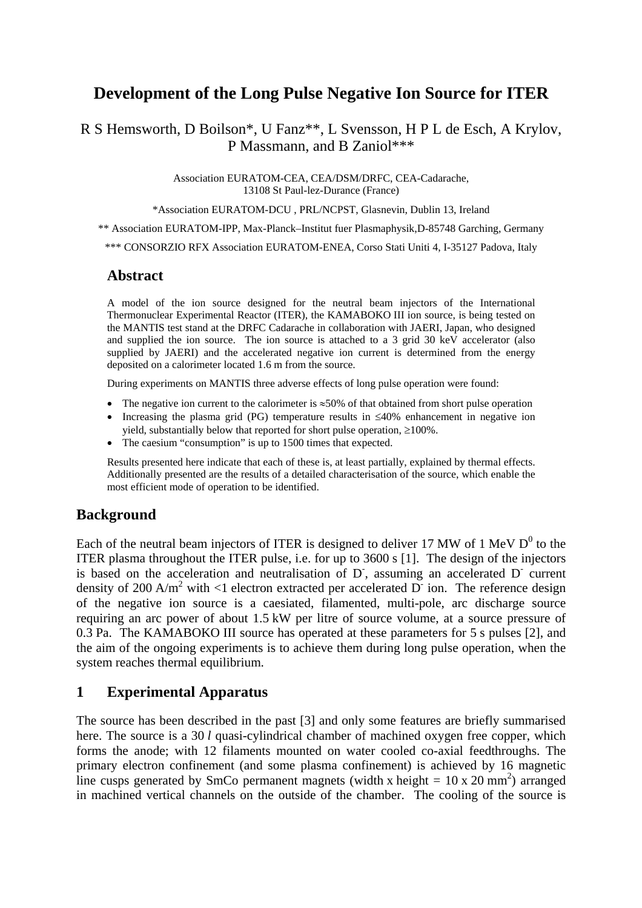# **Development of the Long Pulse Negative Ion Source for ITER**

R S Hemsworth, D Boilson\*, U Fanz\*\*, L Svensson, H P L de Esch, A Krylov, P Massmann, and B Zaniol\*\*\*

> Association EURATOM-CEA, CEA/DSM/DRFC, CEA-Cadarache, 13108 St Paul-lez-Durance (France)

\*Association EURATOM-DCU , PRL/NCPST, Glasnevin, Dublin 13, Ireland

\*\* Association EURATOM-IPP, Max-Planck–Institut fuer Plasmaphysik,D-85748 Garching, Germany \*\*\* CONSORZIO RFX Association EURATOM-ENEA, Corso Stati Uniti 4, I-35127 Padova, Italy

### **Abstract**

A model of the ion source designed for the neutral beam injectors of the International Thermonuclear Experimental Reactor (ITER), the KAMABOKO III ion source, is being tested on the MANTIS test stand at the DRFC Cadarache in collaboration with JAERI, Japan, who designed and supplied the ion source. The ion source is attached to a 3 grid 30 keV accelerator (also supplied by JAERI) and the accelerated negative ion current is determined from the energy deposited on a calorimeter located 1.6 m from the source.

During experiments on MANTIS three adverse effects of long pulse operation were found:

- The negative ion current to the calorimeter is  $\approx$ 50% of that obtained from short pulse operation
- Increasing the plasma grid (PG) temperature results in  $\leq 40\%$  enhancement in negative ion yield, substantially below that reported for short pulse operation,  $\geq 100\%$ .
- The caesium "consumption" is up to 1500 times that expected.

Results presented here indicate that each of these is, at least partially, explained by thermal effects. Additionally presented are the results of a detailed characterisation of the source, which enable the most efficient mode of operation to be identified.

### **Background**

Each of the neutral beam injectors of ITER is designed to deliver 17 MW of 1 MeV  $D^0$  to the ITER plasma throughout the ITER pulse, i.e. for up to 3600 s [1]. The design of the injectors is based on the acceleration and neutralisation of D, assuming an accelerated D current density of 200 A/m<sup>2</sup> with <1 electron extracted per accelerated  $\overline{D}$  ion. The reference design of the negative ion source is a caesiated, filamented, multi-pole, arc discharge source requiring an arc power of about 1.5 kW per litre of source volume, at a source pressure of 0.3 Pa. The KAMABOKO III source has operated at these parameters for 5 s pulses [2], and the aim of the ongoing experiments is to achieve them during long pulse operation, when the system reaches thermal equilibrium.

### **1 Experimental Apparatus**

The source has been described in the past [3] and only some features are briefly summarised here. The source is a 30 *l* quasi-cylindrical chamber of machined oxygen free copper, which forms the anode; with 12 filaments mounted on water cooled co-axial feedthroughs. The primary electron confinement (and some plasma confinement) is achieved by 16 magnetic line cusps generated by SmCo permanent magnets (width x height =  $10 \times 20 \text{ mm}^2$ ) arranged in machined vertical channels on the outside of the chamber. The cooling of the source is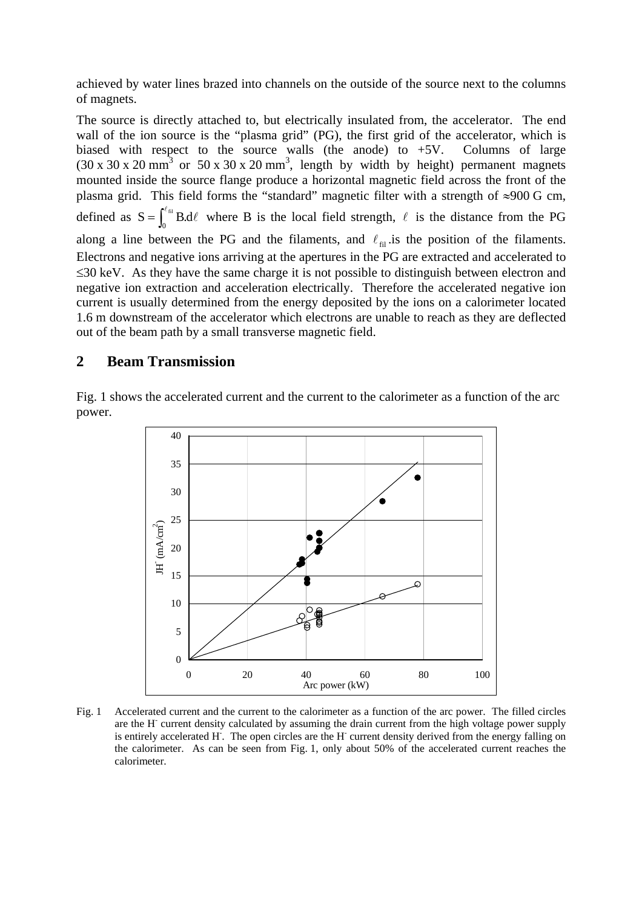achieved by water lines brazed into channels on the outside of the source next to the columns of magnets.

The source is directly attached to, but electrically insulated from, the accelerator. The end wall of the ion source is the "plasma grid" (PG), the first grid of the accelerator, which is biased with respect to the source walls (the anode) to  $+5V$ . Columns of large  $(30 \times 30 \times 20 \text{ mm}^3)$  or  $50 \times 30 \times 20 \text{ mm}^3$ , length by width by height) permanent magnets mounted inside the source flange produce a horizontal magnetic field across the front of the plasma grid. This field forms the "standard" magnetic filter with a strength of ≈900 G cm, defined as  $S = \int_0^{\ell_{\text{fil}}} B \, d\ell$  where B is the local field strength,  $\ell$  is the distance from the PG along a line between the PG and the filaments, and  $\ell_{\text{fil}}$  is the position of the filaments. Electrons and negative ions arriving at the apertures in the PG are extracted and accelerated to ≤30 keV. As they have the same charge it is not possible to distinguish between electron and negative ion extraction and acceleration electrically. Therefore the accelerated negative ion current is usually determined from the energy deposited by the ions on a calorimeter located 1.6 m downstream of the accelerator which electrons are unable to reach as they are deflected out of the beam path by a small transverse magnetic field.

### **2 Beam Transmission**

Fig. 1 shows the accelerated current and the current to the calorimeter as a function of the arc power.



Fig. 1 Accelerated current and the current to the calorimeter as a function of the arc power. The filled circles are the H<sup>-</sup> current density calculated by assuming the drain current from the high voltage power supply is entirely accelerated H. The open circles are the H<sup>-</sup> current density derived from the energy falling on the calorimeter. As can be seen from Fig. 1, only about 50% of the accelerated current reaches the calorimeter.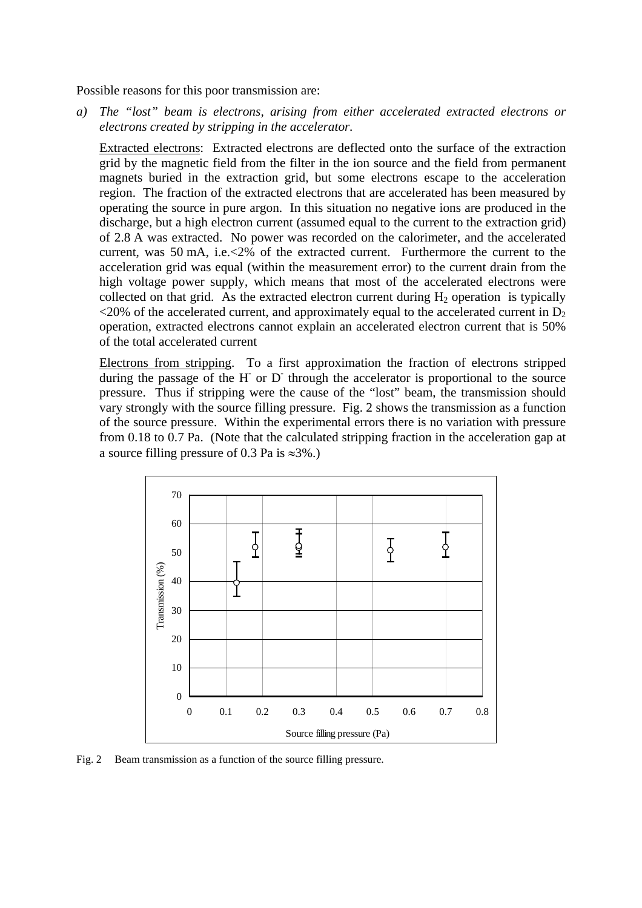Possible reasons for this poor transmission are:

*a) The "lost" beam is electrons, arising from either accelerated extracted electrons or electrons created by stripping in the accelerator.* 

Extracted electrons: Extracted electrons are deflected onto the surface of the extraction grid by the magnetic field from the filter in the ion source and the field from permanent magnets buried in the extraction grid, but some electrons escape to the acceleration region. The fraction of the extracted electrons that are accelerated has been measured by operating the source in pure argon. In this situation no negative ions are produced in the discharge, but a high electron current (assumed equal to the current to the extraction grid) of 2.8 A was extracted. No power was recorded on the calorimeter, and the accelerated current, was 50 mA, i.e.<2% of the extracted current. Furthermore the current to the acceleration grid was equal (within the measurement error) to the current drain from the high voltage power supply, which means that most of the accelerated electrons were collected on that grid. As the extracted electron current during  $H_2$  operation is typically  $\langle 20\%$  of the accelerated current, and approximately equal to the accelerated current in D<sub>2</sub> operation, extracted electrons cannot explain an accelerated electron current that is 50% of the total accelerated current

Electrons from stripping. To a first approximation the fraction of electrons stripped during the passage of the H or D through the accelerator is proportional to the source pressure. Thus if stripping were the cause of the "lost" beam, the transmission should vary strongly with the source filling pressure. Fig. 2 shows the transmission as a function of the source pressure. Within the experimental errors there is no variation with pressure from 0.18 to 0.7 Pa. (Note that the calculated stripping fraction in the acceleration gap at a source filling pressure of 0.3 Pa is  $\approx 3\%$ .)



Fig. 2 Beam transmission as a function of the source filling pressure.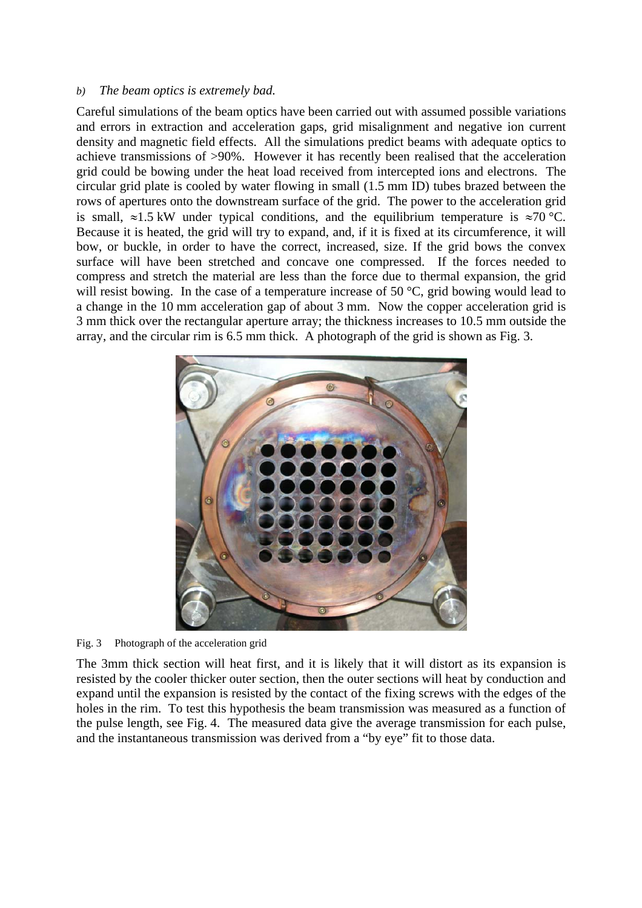#### *b) The beam optics is extremely bad.*

Careful simulations of the beam optics have been carried out with assumed possible variations and errors in extraction and acceleration gaps, grid misalignment and negative ion current density and magnetic field effects. All the simulations predict beams with adequate optics to achieve transmissions of >90%. However it has recently been realised that the acceleration grid could be bowing under the heat load received from intercepted ions and electrons. The circular grid plate is cooled by water flowing in small (1.5 mm ID) tubes brazed between the rows of apertures onto the downstream surface of the grid. The power to the acceleration grid is small,  $\approx$ 1.5 kW under typical conditions, and the equilibrium temperature is  $\approx$ 70 °C. Because it is heated, the grid will try to expand, and, if it is fixed at its circumference, it will bow, or buckle, in order to have the correct, increased, size. If the grid bows the convex surface will have been stretched and concave one compressed. If the forces needed to compress and stretch the material are less than the force due to thermal expansion, the grid will resist bowing. In the case of a temperature increase of 50 °C, grid bowing would lead to a change in the 10 mm acceleration gap of about 3 mm. Now the copper acceleration grid is 3 mm thick over the rectangular aperture array; the thickness increases to 10.5 mm outside the array, and the circular rim is 6.5 mm thick. A photograph of the grid is shown as Fig. 3.



Fig. 3 Photograph of the acceleration grid

The 3mm thick section will heat first, and it is likely that it will distort as its expansion is resisted by the cooler thicker outer section, then the outer sections will heat by conduction and expand until the expansion is resisted by the contact of the fixing screws with the edges of the holes in the rim. To test this hypothesis the beam transmission was measured as a function of the pulse length, see Fig. 4. The measured data give the average transmission for each pulse, and the instantaneous transmission was derived from a "by eye" fit to those data.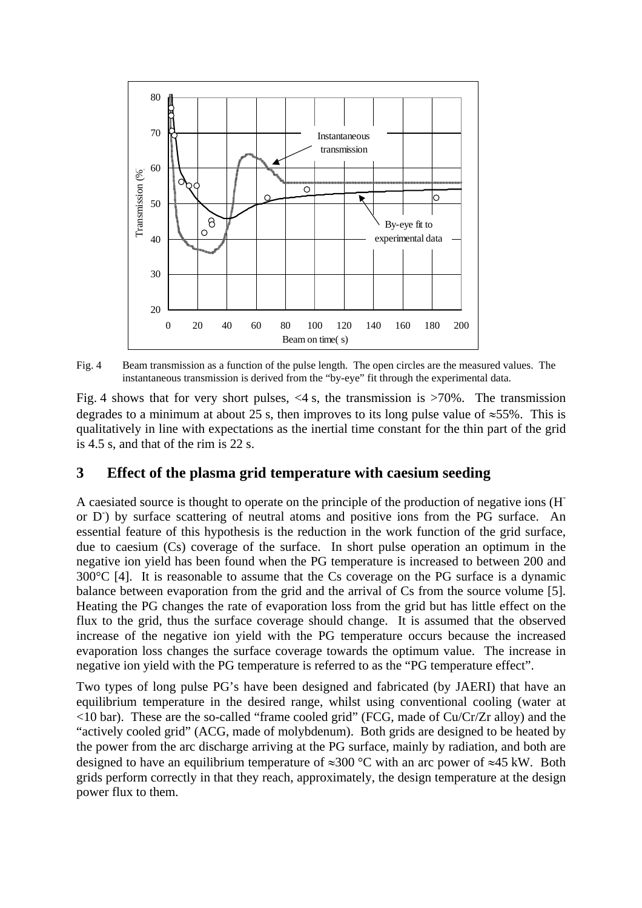

Fig. 4 Beam transmission as a function of the pulse length. The open circles are the measured values. The instantaneous transmission is derived from the "by-eye" fit through the experimental data.

Fig. 4 shows that for very short pulses,  $\langle 4 \rangle$  s, the transmission is  $>70\%$ . The transmission degrades to a minimum at about 25 s, then improves to its long pulse value of  $\approx 55\%$ . This is qualitatively in line with expectations as the inertial time constant for the thin part of the grid is 4.5 s, and that of the rim is 22 s.

#### **3 Effect of the plasma grid temperature with caesium seeding**

A caesiated source is thought to operate on the principle of the production of negative ions (Hor D<sup>-</sup>) by surface scattering of neutral atoms and positive ions from the PG surface. An essential feature of this hypothesis is the reduction in the work function of the grid surface, due to caesium (Cs) coverage of the surface. In short pulse operation an optimum in the negative ion yield has been found when the PG temperature is increased to between 200 and  $300^{\circ}$ C [4]. It is reasonable to assume that the Cs coverage on the PG surface is a dynamic balance between evaporation from the grid and the arrival of Cs from the source volume [5]. Heating the PG changes the rate of evaporation loss from the grid but has little effect on the flux to the grid, thus the surface coverage should change. It is assumed that the observed increase of the negative ion yield with the PG temperature occurs because the increased evaporation loss changes the surface coverage towards the optimum value. The increase in negative ion yield with the PG temperature is referred to as the "PG temperature effect".

Two types of long pulse PG's have been designed and fabricated (by JAERI) that have an equilibrium temperature in the desired range, whilst using conventional cooling (water at <10 bar). These are the so-called "frame cooled grid" (FCG, made of Cu/Cr/Zr alloy) and the "actively cooled grid" (ACG, made of molybdenum). Both grids are designed to be heated by the power from the arc discharge arriving at the PG surface, mainly by radiation, and both are designed to have an equilibrium temperature of  $\approx 300$  °C with an arc power of  $\approx 45$  kW. Both grids perform correctly in that they reach, approximately, the design temperature at the design power flux to them.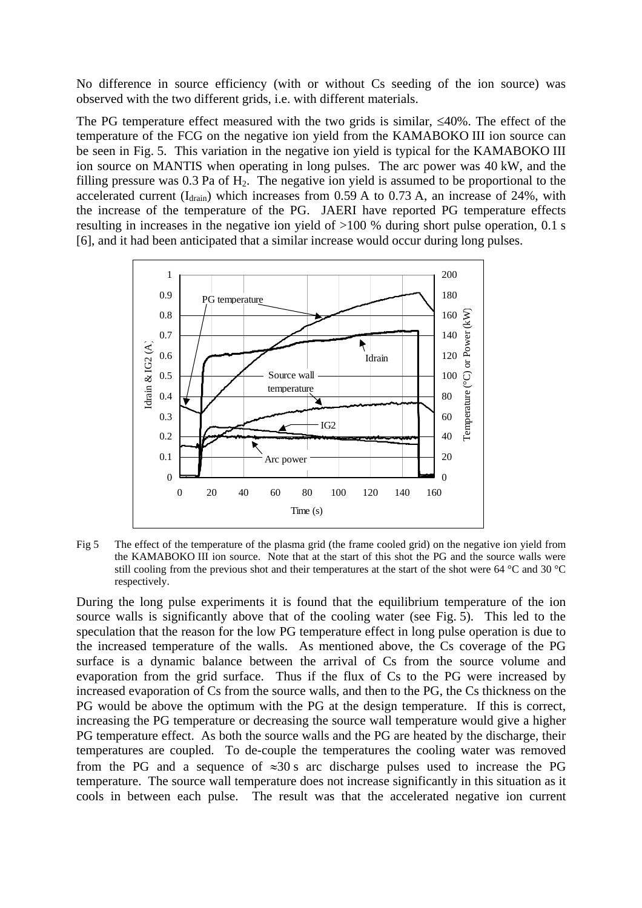No difference in source efficiency (with or without Cs seeding of the ion source) was observed with the two different grids, i.e. with different materials.

The PG temperature effect measured with the two grids is similar, ≤40%. The effect of the temperature of the FCG on the negative ion yield from the KAMABOKO III ion source can be seen in Fig. 5. This variation in the negative ion yield is typical for the KAMABOKO III ion source on MANTIS when operating in long pulses. The arc power was 40 kW, and the filling pressure was  $0.3$  Pa of  $H_2$ . The negative ion yield is assumed to be proportional to the accelerated current  $(I<sub>drain</sub>)$  which increases from 0.59 A to 0.73 A, an increase of 24%, with the increase of the temperature of the PG. JAERI have reported PG temperature effects resulting in increases in the negative ion yield of >100 % during short pulse operation, 0.1 s [6], and it had been anticipated that a similar increase would occur during long pulses.



Fig 5 The effect of the temperature of the plasma grid (the frame cooled grid) on the negative ion yield from the KAMABOKO III ion source. Note that at the start of this shot the PG and the source walls were still cooling from the previous shot and their temperatures at the start of the shot were 64 °C and 30 °C respectively.

During the long pulse experiments it is found that the equilibrium temperature of the ion source walls is significantly above that of the cooling water (see Fig. 5). This led to the speculation that the reason for the low PG temperature effect in long pulse operation is due to the increased temperature of the walls. As mentioned above, the Cs coverage of the PG surface is a dynamic balance between the arrival of Cs from the source volume and evaporation from the grid surface. Thus if the flux of Cs to the PG were increased by increased evaporation of Cs from the source walls, and then to the PG, the Cs thickness on the PG would be above the optimum with the PG at the design temperature. If this is correct, increasing the PG temperature or decreasing the source wall temperature would give a higher PG temperature effect. As both the source walls and the PG are heated by the discharge, their temperatures are coupled. To de-couple the temperatures the cooling water was removed from the PG and a sequence of  $\approx 30$  s arc discharge pulses used to increase the PG temperature. The source wall temperature does not increase significantly in this situation as it cools in between each pulse. The result was that the accelerated negative ion current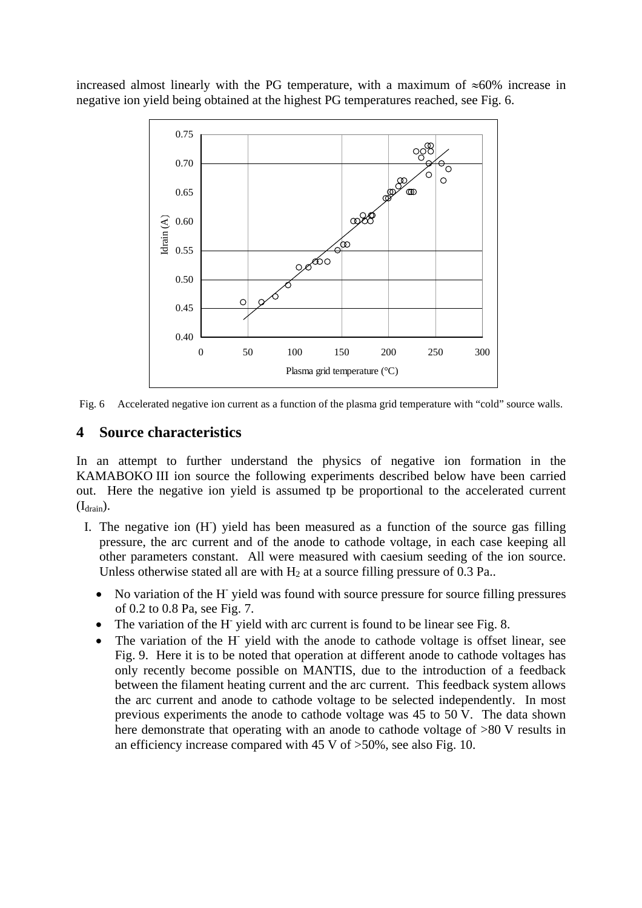increased almost linearly with the PG temperature, with a maximum of  $\approx 60\%$  increase in negative ion yield being obtained at the highest PG temperatures reached, see Fig. 6.



Fig. 6 Accelerated negative ion current as a function of the plasma grid temperature with "cold" source walls.

### **4 Source characteristics**

In an attempt to further understand the physics of negative ion formation in the KAMABOKO III ion source the following experiments described below have been carried out. Here the negative ion yield is assumed tp be proportional to the accelerated current  $(I<sub>drain</sub>)$ .

- I. The negative ion (H) yield has been measured as a function of the source gas filling pressure, the arc current and of the anode to cathode voltage, in each case keeping all other parameters constant. All were measured with caesium seeding of the ion source. Unless otherwise stated all are with  $H_2$  at a source filling pressure of 0.3 Pa..
	- No variation of the H<sup>-</sup> yield was found with source pressure for source filling pressures of 0.2 to 0.8 Pa, see Fig. 7.
	- The variation of the H yield with arc current is found to be linear see Fig. 8.
	- The variation of the H<sup>-</sup> yield with the anode to cathode voltage is offset linear, see Fig. 9. Here it is to be noted that operation at different anode to cathode voltages has only recently become possible on MANTIS, due to the introduction of a feedback between the filament heating current and the arc current. This feedback system allows the arc current and anode to cathode voltage to be selected independently. In most previous experiments the anode to cathode voltage was 45 to 50 V. The data shown here demonstrate that operating with an anode to cathode voltage of  $>80$  V results in an efficiency increase compared with 45 V of >50%, see also Fig. 10.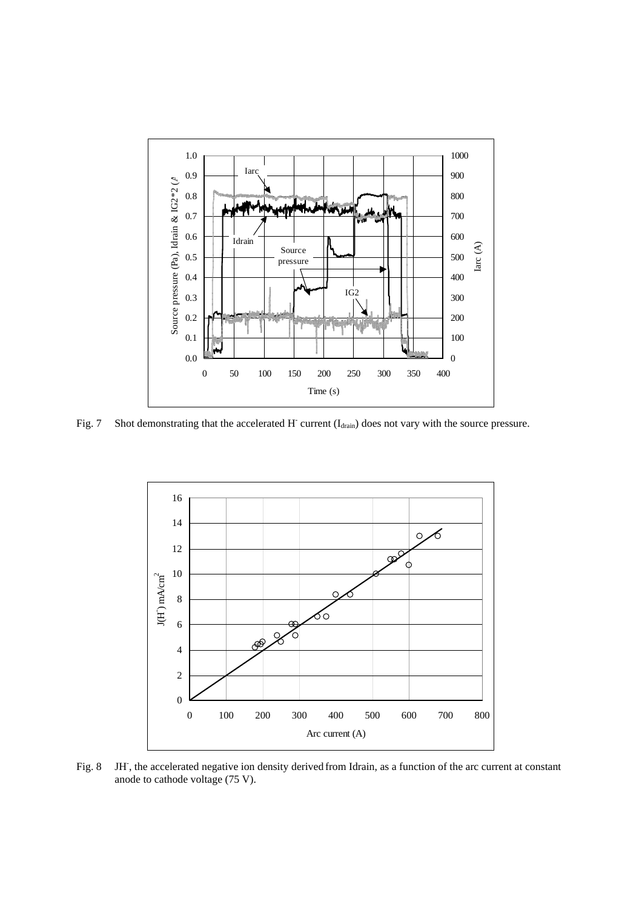

Fig. 7 Shot demonstrating that the accelerated H<sup>-</sup> current  $(I<sub>drain</sub>)$  does not vary with the source pressure.



Fig.  $8$ JH<sup>7</sup>, the accelerated negative ion density derived from Idrain, as a function of the arc current at constant anode to cathode voltage (75 V).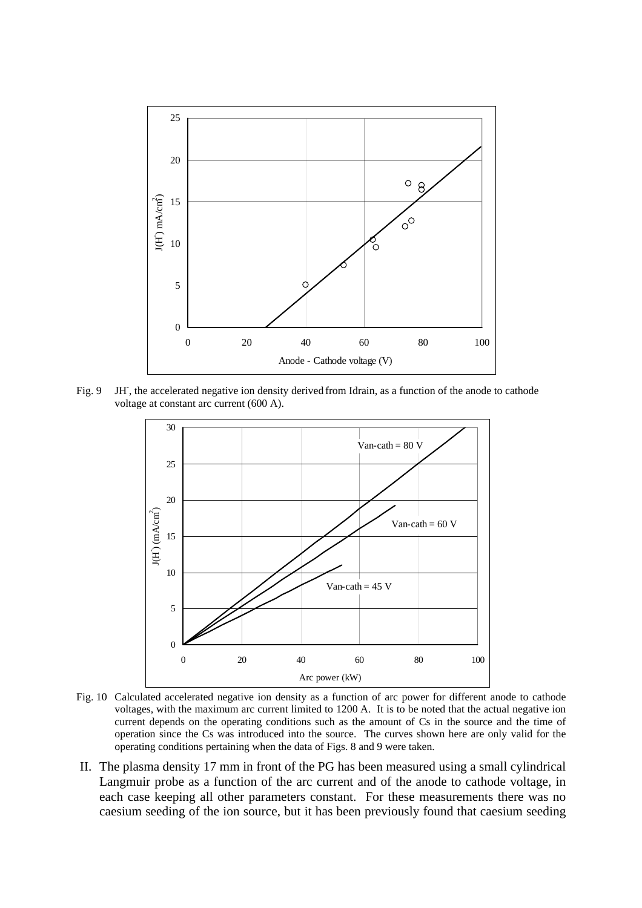

 $Fig. 9$ JH, the accelerated negative ion density derived from Idrain, as a function of the anode to cathode voltage at constant arc current (600 A).



- Fig. 10 Calculated accelerated negative ion density as a function of arc power for different anode to cathode voltages, with the maximum arc current limited to 1200 A. It is to be noted that the actual negative ion current depends on the operating conditions such as the amount of Cs in the source and the time of operation since the Cs was introduced into the source. The curves shown here are only valid for the operating conditions pertaining when the data of Figs. 8 and 9 were taken.
- II. The plasma density 17 mm in front of the PG has been measured using a small cylindrical Langmuir probe as a function of the arc current and of the anode to cathode voltage, in each case keeping all other parameters constant. For these measurements there was no caesium seeding of the ion source, but it has been previously found that caesium seeding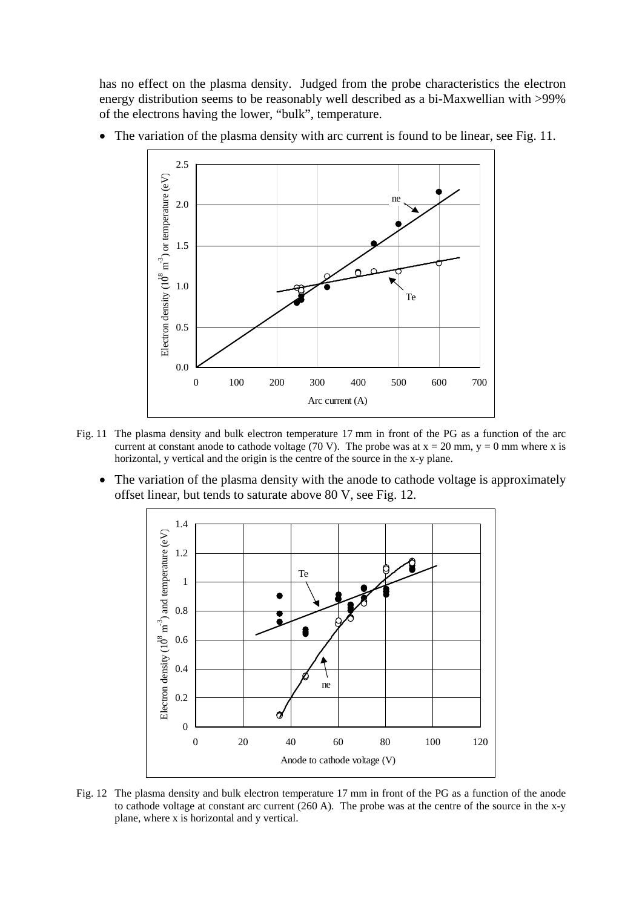has no effect on the plasma density. Judged from the probe characteristics the electron energy distribution seems to be reasonably well described as a bi-Maxwellian with >99% of the electrons having the lower, "bulk", temperature.



• The variation of the plasma density with arc current is found to be linear, see Fig. 11.

- Fig. 11 The plasma density and bulk electron temperature 17 mm in front of the PG as a function of the arc current at constant anode to cathode voltage (70 V). The probe was at  $x = 20$  mm,  $y = 0$  mm where x is horizontal, y vertical and the origin is the centre of the source in the x-y plane.
	- The variation of the plasma density with the anode to cathode voltage is approximately offset linear, but tends to saturate above 80 V, see Fig. 12.



Fig. 12 The plasma density and bulk electron temperature 17 mm in front of the PG as a function of the anode to cathode voltage at constant arc current (260 A). The probe was at the centre of the source in the x-y plane, where x is horizontal and y vertical.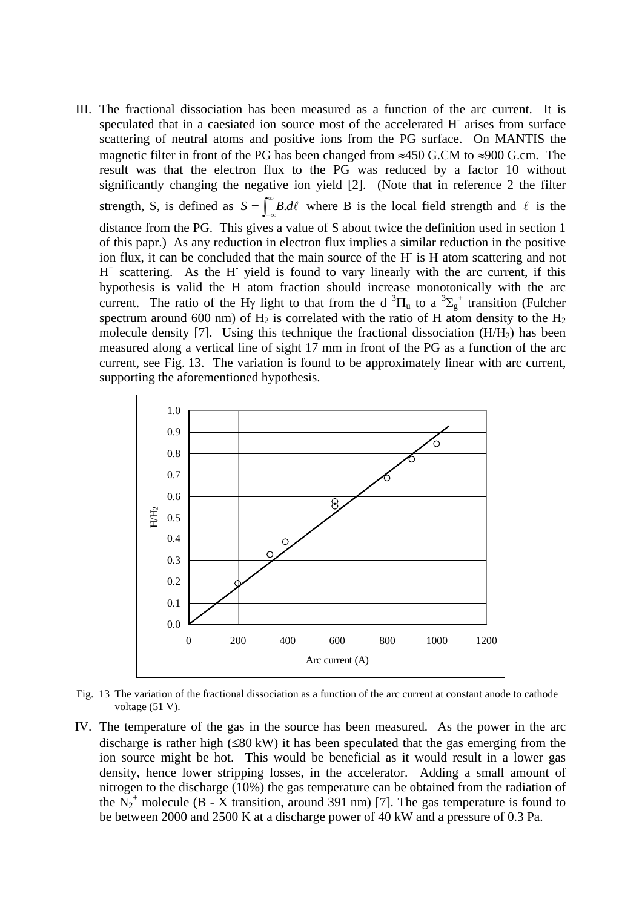III. The fractional dissociation has been measured as a function of the arc current. It is speculated that in a caesiated ion source most of the accelerated H arises from surface scattering of neutral atoms and positive ions from the PG surface. On MANTIS the magnetic filter in front of the PG has been changed from ≈450 G.CM to ≈900 G.cm. The result was that the electron flux to the PG was reduced by a factor 10 without significantly changing the negative ion yield [2]. (Note that in reference 2 the filter strength, S, is defined as  $S = \int_{-\infty}^{\infty} B \, d\ell$  where B is the local field strength and  $\ell$  is the distance from the PG. This gives a value of S about twice the definition used in section 1 of this papr.) As any reduction in electron flux implies a similar reduction in the positive ion flux, it can be concluded that the main source of the H is H atom scattering and not H<sup>+</sup> scattering. As the H<sup>-</sup> yield is found to vary linearly with the arc current, if this hypothesis is valid the H atom fraction should increase monotonically with the arc current. The ratio of the Hy light to that from the d<sup>3</sup> $\Pi_u$  to a<sup>3</sup> $\Sigma_g^+$  transition (Fulcher spectrum around 600 nm) of  $H_2$  is correlated with the ratio of H atom density to the  $H_2$ molecule density [7]. Using this technique the fractional dissociation  $(H/H<sub>2</sub>)$  has been measured along a vertical line of sight 17 mm in front of the PG as a function of the arc current, see Fig. 13. The variation is found to be approximately linear with arc current, supporting the aforementioned hypothesis.



Fig. 13 The variation of the fractional dissociation as a function of the arc current at constant anode to cathode voltage (51 V).

IV. The temperature of the gas in the source has been measured. As the power in the arc discharge is rather high  $(\leq 80 \text{ kW})$  it has been speculated that the gas emerging from the ion source might be hot. This would be beneficial as it would result in a lower gas density, hence lower stripping losses, in the accelerator. Adding a small amount of nitrogen to the discharge (10%) the gas temperature can be obtained from the radiation of the  $N_2$ <sup>+</sup> molecule (B - X transition, around 391 nm) [7]. The gas temperature is found to be between 2000 and 2500 K at a discharge power of 40 kW and a pressure of 0.3 Pa.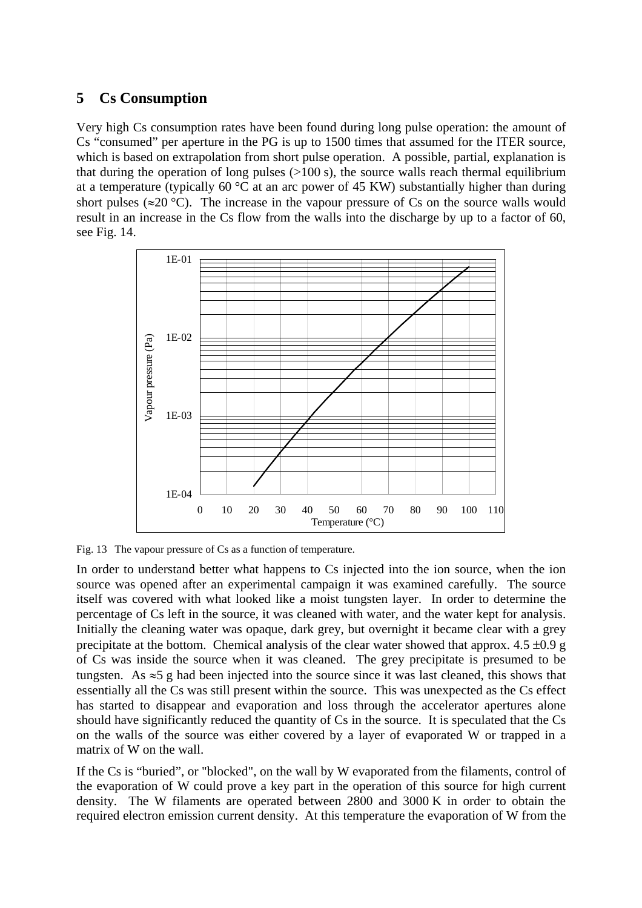### **5 Cs Consumption**

Very high Cs consumption rates have been found during long pulse operation: the amount of Cs "consumed" per aperture in the PG is up to 1500 times that assumed for the ITER source, which is based on extrapolation from short pulse operation. A possible, partial, explanation is that during the operation of long pulses  $(>100 \text{ s})$ , the source walls reach thermal equilibrium at a temperature (typically 60  $\degree$ C at an arc power of 45 KW) substantially higher than during short pulses ( $\approx$ 20 °C). The increase in the vapour pressure of Cs on the source walls would result in an increase in the Cs flow from the walls into the discharge by up to a factor of 60, see Fig. 14.



Fig. 13 The vapour pressure of Cs as a function of temperature.

In order to understand better what happens to Cs injected into the ion source, when the ion source was opened after an experimental campaign it was examined carefully. The source itself was covered with what looked like a moist tungsten layer. In order to determine the percentage of Cs left in the source, it was cleaned with water, and the water kept for analysis. Initially the cleaning water was opaque, dark grey, but overnight it became clear with a grey precipitate at the bottom. Chemical analysis of the clear water showed that approx.  $4.5 \pm 0.9$  g of Cs was inside the source when it was cleaned. The grey precipitate is presumed to be tungsten. As  $\approx$ 5 g had been injected into the source since it was last cleaned, this shows that essentially all the Cs was still present within the source. This was unexpected as the Cs effect has started to disappear and evaporation and loss through the accelerator apertures alone should have significantly reduced the quantity of Cs in the source. It is speculated that the Cs on the walls of the source was either covered by a layer of evaporated W or trapped in a matrix of W on the wall.

If the Cs is "buried", or "blocked", on the wall by W evaporated from the filaments, control of the evaporation of W could prove a key part in the operation of this source for high current density. The W filaments are operated between 2800 and 3000 K in order to obtain the required electron emission current density. At this temperature the evaporation of W from the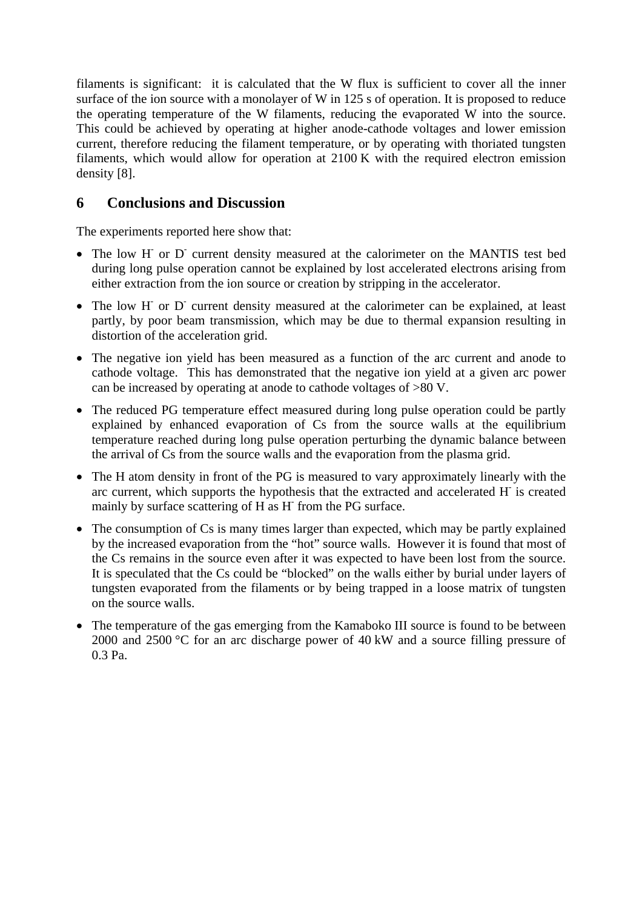filaments is significant: it is calculated that the W flux is sufficient to cover all the inner surface of the ion source with a monolayer of W in 125 s of operation. It is proposed to reduce the operating temperature of the W filaments, reducing the evaporated W into the source. This could be achieved by operating at higher anode-cathode voltages and lower emission current, therefore reducing the filament temperature, or by operating with thoriated tungsten filaments, which would allow for operation at 2100 K with the required electron emission density [8].

## **6 Conclusions and Discussion**

The experiments reported here show that:

- The low H or D current density measured at the calorimeter on the MANTIS test bed during long pulse operation cannot be explained by lost accelerated electrons arising from either extraction from the ion source or creation by stripping in the accelerator.
- The low H or D current density measured at the calorimeter can be explained, at least partly, by poor beam transmission, which may be due to thermal expansion resulting in distortion of the acceleration grid.
- The negative ion yield has been measured as a function of the arc current and anode to cathode voltage. This has demonstrated that the negative ion yield at a given arc power can be increased by operating at anode to cathode voltages of >80 V.
- The reduced PG temperature effect measured during long pulse operation could be partly explained by enhanced evaporation of Cs from the source walls at the equilibrium temperature reached during long pulse operation perturbing the dynamic balance between the arrival of Cs from the source walls and the evaporation from the plasma grid.
- The H atom density in front of the PG is measured to vary approximately linearly with the arc current, which supports the hypothesis that the extracted and accelerated H- is created mainly by surface scattering of H as H<sup>-</sup> from the PG surface.
- The consumption of Cs is many times larger than expected, which may be partly explained by the increased evaporation from the "hot" source walls. However it is found that most of the Cs remains in the source even after it was expected to have been lost from the source. It is speculated that the Cs could be "blocked" on the walls either by burial under layers of tungsten evaporated from the filaments or by being trapped in a loose matrix of tungsten on the source walls.
- The temperature of the gas emerging from the Kamaboko III source is found to be between 2000 and 2500 °C for an arc discharge power of 40 kW and a source filling pressure of 0.3 Pa.